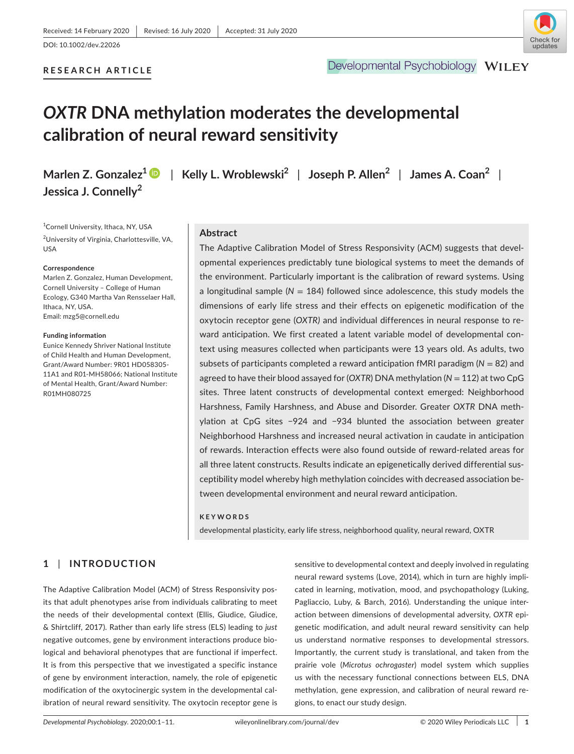## **RESEARCH ARTICLE**

## Developmental Psychobiology WILEY

# *OXTR* **DNA methylation moderates the developmental calibration of neural reward sensitivity**

**Jessica J. Connelly<sup>2</sup>**

**Marlen Z. Gonzalez1** | **Kelly L. Wroblewski<sup>2</sup>** | **Joseph P. Allen<sup>2</sup>** | **James A. Coan<sup>2</sup>** |

1 Cornell University, Ithaca, NY, USA <sup>2</sup>University of Virginia, Charlottesville, VA, USA

#### **Correspondence**

Marlen Z. Gonzalez, Human Development, Cornell University – College of Human Ecology, G340 Martha Van Rensselaer Hall, Ithaca, NY, USA. Email: [mzg5@cornell.edu](mailto:mzg5@cornell.edu)

#### **Funding information**

Eunice Kennedy Shriver National Institute of Child Health and Human Development, Grant/Award Number: 9R01 HD058305- 11A1 and R01-MH58066; National Institute of Mental Health, Grant/Award Number: R01MH080725

## **Abstract**

The Adaptive Calibration Model of Stress Responsivity (ACM) suggests that developmental experiences predictably tune biological systems to meet the demands of the environment. Particularly important is the calibration of reward systems. Using a longitudinal sample (*N* = 184) followed since adolescence, this study models the dimensions of early life stress and their effects on epigenetic modification of the oxytocin receptor gene (*OXTR)* and individual differences in neural response to reward anticipation. We first created a latent variable model of developmental context using measures collected when participants were 13 years old. As adults, two subsets of participants completed a reward anticipation fMRI paradigm (*N* = 82) and agreed to have their blood assayed for (*OXTR*) DNA methylation (*N* = 112) at two CpG sites. Three latent constructs of developmental context emerged: Neighborhood Harshness, Family Harshness, and Abuse and Disorder. Greater *OXTR* DNA methylation at CpG sites −924 and −934 blunted the association between greater Neighborhood Harshness and increased neural activation in caudate in anticipation of rewards. Interaction effects were also found outside of reward-related areas for all three latent constructs. Results indicate an epigenetically derived differential susceptibility model whereby high methylation coincides with decreased association between developmental environment and neural reward anticipation.

#### **KEYWORDS**

developmental plasticity, early life stress, neighborhood quality, neural reward, OXTR

## **1** | **INTRODUCTION**

The Adaptive Calibration Model (ACM) of Stress Responsivity posits that adult phenotypes arise from individuals calibrating to meet the needs of their developmental context (Ellis, Giudice, Giudice, & Shirtcliff, 2017). Rather than early life stress (ELS) leading to *just* negative outcomes, gene by environment interactions produce biological and behavioral phenotypes that are functional if imperfect. It is from this perspective that we investigated a specific instance of gene by environment interaction, namely, the role of epigenetic modification of the oxytocinergic system in the developmental calibration of neural reward sensitivity. The oxytocin receptor gene is

sensitive to developmental context and deeply involved in regulating neural reward systems (Love, 2014), which in turn are highly implicated in learning, motivation, mood, and psychopathology (Luking, Pagliaccio, Luby, & Barch, 2016). Understanding the unique interaction between dimensions of developmental adversity, *OXTR* epigenetic modification, and adult neural reward sensitivity can help us understand normative responses to developmental stressors. Importantly, the current study is translational, and taken from the prairie vole (*Microtus ochrogaster*) model system which supplies us with the necessary functional connections between ELS, DNA methylation, gene expression, and calibration of neural reward regions, to enact our study design.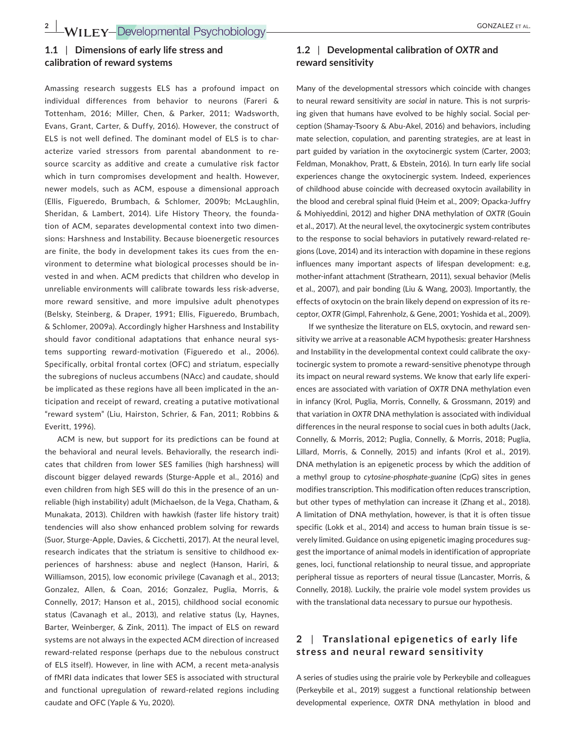## **1.1** | **Dimensions of early life stress and calibration of reward systems**

Amassing research suggests ELS has a profound impact on individual differences from behavior to neurons (Fareri & Tottenham, 2016; Miller, Chen, & Parker, 2011; Wadsworth, Evans, Grant, Carter, & Duffy, 2016). However, the construct of ELS is not well defined. The dominant model of ELS is to characterize varied stressors from parental abandonment to resource scarcity as additive and create a cumulative risk factor which in turn compromises development and health. However, newer models, such as ACM, espouse a dimensional approach (Ellis, Figueredo, Brumbach, & Schlomer, 2009b; McLaughlin, Sheridan, & Lambert, 2014). Life History Theory, the foundation of ACM, separates developmental context into two dimensions: Harshness and Instability. Because bioenergetic resources are finite, the body in development takes its cues from the environment to determine what biological processes should be invested in and when. ACM predicts that children who develop in unreliable environments will calibrate towards less risk-adverse, more reward sensitive, and more impulsive adult phenotypes (Belsky, Steinberg, & Draper, 1991; Ellis, Figueredo, Brumbach, & Schlomer, 2009a). Accordingly higher Harshness and Instability should favor conditional adaptations that enhance neural systems supporting reward-motivation (Figueredo et al., 2006). Specifically, orbital frontal cortex (OFC) and striatum, especially the subregions of nucleus accumbens (NAcc) and caudate, should be implicated as these regions have all been implicated in the anticipation and receipt of reward, creating a putative motivational "reward system" (Liu, Hairston, Schrier, & Fan, 2011; Robbins & Everitt, 1996).

ACM is new, but support for its predictions can be found at the behavioral and neural levels. Behaviorally, the research indicates that children from lower SES families (high harshness) will discount bigger delayed rewards (Sturge-Apple et al., 2016) and even children from high SES will do this in the presence of an unreliable (high instability) adult (Michaelson, de la Vega, Chatham, & Munakata, 2013). Children with hawkish (faster life history trait) tendencies will also show enhanced problem solving for rewards (Suor, Sturge-Apple, Davies, & Cicchetti, 2017). At the neural level, research indicates that the striatum is sensitive to childhood experiences of harshness: abuse and neglect (Hanson, Hariri, & Williamson, 2015), low economic privilege (Cavanagh et al., 2013; Gonzalez, Allen, & Coan, 2016; Gonzalez, Puglia, Morris, & Connelly, 2017; Hanson et al., 2015), childhood social economic status (Cavanagh et al., 2013), and relative status (Ly, Haynes, Barter, Weinberger, & Zink, 2011). The impact of ELS on reward systems are not always in the expected ACM direction of increased reward-related response (perhaps due to the nebulous construct of ELS itself). However, in line with ACM, a recent meta-analysis of fMRI data indicates that lower SES is associated with structural and functional upregulation of reward-related regions including caudate and OFC (Yaple & Yu, 2020).

## **1.2** | **Developmental calibration of** *OXTR* **and reward sensitivity**

Many of the developmental stressors which coincide with changes to neural reward sensitivity are *social* in nature. This is not surprising given that humans have evolved to be highly social. Social perception (Shamay-Tsoory & Abu-Akel, 2016) and behaviors, including mate selection, copulation, and parenting strategies, are at least in part guided by variation in the oxytocinergic system (Carter, 2003; Feldman, Monakhov, Pratt, & Ebstein, 2016). In turn early life social experiences change the oxytocinergic system. Indeed, experiences of childhood abuse coincide with decreased oxytocin availability in the blood and cerebral spinal fluid (Heim et al., 2009; Opacka-Juffry & Mohiyeddini, 2012) and higher DNA methylation of *OXTR* (Gouin et al., 2017). At the neural level, the oxytocinergic system contributes to the response to social behaviors in putatively reward-related regions (Love, 2014) and its interaction with dopamine in these regions influences many important aspects of lifespan development: e.g, mother-infant attachment (Strathearn, 2011), sexual behavior (Melis et al., 2007), and pair bonding (Liu & Wang, 2003). Importantly, the effects of oxytocin on the brain likely depend on expression of its receptor, *OXTR* (Gimpl, Fahrenholz, & Gene, 2001; Yoshida et al., 2009).

If we synthesize the literature on ELS, oxytocin, and reward sensitivity we arrive at a reasonable ACM hypothesis: greater Harshness and Instability in the developmental context could calibrate the oxytocinergic system to promote a reward-sensitive phenotype through its impact on neural reward systems. We know that early life experiences are associated with variation of *OXTR* DNA methylation even in infancy (Krol, Puglia, Morris, Connelly, & Grossmann, 2019) and that variation in *OXTR* DNA methylation is associated with individual differences in the neural response to social cues in both adults (Jack, Connelly, & Morris, 2012; Puglia, Connelly, & Morris, 2018; Puglia, Lillard, Morris, & Connelly, 2015) and infants (Krol et al., 2019). DNA methylation is an epigenetic process by which the addition of a methyl group to *cytosine-phosphate-guanine* (CpG) sites in genes modifies transcription. This modification often reduces transcription, but other types of methylation can increase it (Zhang et al., 2018). A limitation of DNA methylation, however, is that it is often tissue specific (Lokk et al., 2014) and access to human brain tissue is severely limited. Guidance on using epigenetic imaging procedures suggest the importance of animal models in identification of appropriate genes, loci, functional relationship to neural tissue, and appropriate peripheral tissue as reporters of neural tissue (Lancaster, Morris, & Connelly, 2018). Luckily, the prairie vole model system provides us with the translational data necessary to pursue our hypothesis.

## **2** | **Translational epigenetics of early life stress and neural reward sensitivity**

A series of studies using the prairie vole by Perkeybile and colleagues (Perkeybile et al., 2019) suggest a functional relationship between developmental experience, *OXTR* DNA methylation in blood and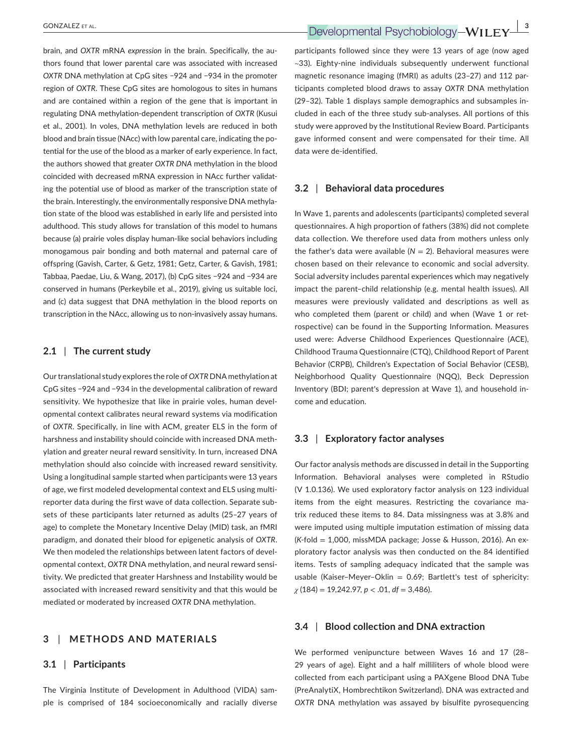brain, and *OXTR* mRNA *expression* in the brain. Specifically, the authors found that lower parental care was associated with increased *OXTR* DNA methylation at CpG sites −924 and −934 in the promoter region of *OXTR*. These CpG sites are homologous to sites in humans and are contained within a region of the gene that is important in regulating DNA methylation-dependent transcription of *OXTR* (Kusui et al., 2001). In voles, DNA methylation levels are reduced in both blood and brain tissue (NAcc) with low parental care, indicating the potential for the use of the blood as a marker of early experience. In fact, the authors showed that greater *OXTR DNA* methylation in the blood coincided with decreased mRNA expression in NAcc further validating the potential use of blood as marker of the transcription state of the brain. Interestingly, the environmentally responsive DNA methylation state of the blood was established in early life and persisted into adulthood. This study allows for translation of this model to humans because (a) prairie voles display human-like social behaviors including monogamous pair bonding and both maternal and paternal care of offspring (Gavish, Carter, & Getz, 1981; Getz, Carter, & Gavish, 1981; Tabbaa, Paedae, Liu, & Wang, 2017), (b) CpG sites −924 and −934 are conserved in humans (Perkeybile et al., 2019), giving us suitable loci, and (c) data suggest that DNA methylation in the blood reports on transcription in the NAcc, allowing us to non-invasively assay humans.

#### **2.1** | **The current study**

Our translational study explores the role of *OXTR* DNA methylation at CpG sites −924 and −934 in the developmental calibration of reward sensitivity. We hypothesize that like in prairie voles, human developmental context calibrates neural reward systems via modification of *OXTR*. Specifically, in line with ACM, greater ELS in the form of harshness and instability should coincide with increased DNA methylation and greater neural reward sensitivity. In turn, increased DNA methylation should also coincide with increased reward sensitivity. Using a longitudinal sample started when participants were 13 years of age, we first modeled developmental context and ELS using multireporter data during the first wave of data collection. Separate subsets of these participants later returned as adults (25–27 years of age) to complete the Monetary Incentive Delay (MID) task, an fMRI paradigm, and donated their blood for epigenetic analysis of *OXTR*. We then modeled the relationships between latent factors of developmental context, *OXTR* DNA methylation, and neural reward sensitivity. We predicted that greater Harshness and Instability would be associated with increased reward sensitivity and that this would be mediated or moderated by increased *OXTR* DNA methylation.

## **3** | **METHODS AND MATERIALS**

## **3.1** | **Participants**

The Virginia Institute of Development in Adulthood (VIDA) sample is comprised of 184 socioeconomically and racially diverse participants followed since they were 13 years of age (now aged ~33). Eighty-nine individuals subsequently underwent functional magnetic resonance imaging (fMRI) as adults (23–27) and 112 participants completed blood draws to assay *OXTR* DNA methylation (29–32). Table 1 displays sample demographics and subsamples included in each of the three study sub-analyses. All portions of this study were approved by the Institutional Review Board. Participants gave informed consent and were compensated for their time. All data were de-identified.

#### **3.2** | **Behavioral data procedures**

In Wave 1, parents and adolescents (participants) completed several questionnaires. A high proportion of fathers (38%) did not complete data collection. We therefore used data from mothers unless only the father's data were available  $(N = 2)$ . Behavioral measures were chosen based on their relevance to economic and social adversity. Social adversity includes parental experiences which may negatively impact the parent–child relationship (e.g. mental health issues). All measures were previously validated and descriptions as well as who completed them (parent or child) and when (Wave 1 or retrospective) can be found in the Supporting Information. Measures used were: Adverse Childhood Experiences Questionnaire (ACE), Childhood Trauma Questionnaire (CTQ), Childhood Report of Parent Behavior (CRPB), Children's Expectation of Social Behavior (CESB), Neighborhood Quality Questionnaire (NQQ), Beck Depression Inventory (BDI; parent's depression at Wave 1), and household income and education.

## **3.3** | **Exploratory factor analyses**

Our factor analysis methods are discussed in detail in the Supporting Information. Behavioral analyses were completed in RStudio (V 1.0.136). We used exploratory factor analysis on 123 individual items from the eight measures. Restricting the covariance matrix reduced these items to 84. Data missingness was at 3.8% and were imputed using multiple imputation estimation of missing data (*K*-fold = 1,000, missMDA package; Josse & Husson, 2016). An exploratory factor analysis was then conducted on the 84 identified items. Tests of sampling adequacy indicated that the sample was usable (Kaiser-Meyer-Oklin =  $0.69$ ; Bartlett's test of sphericity: *χ* (184) = 19,242.97, *p* < .01, *df* = 3,486).

#### **3.4** | **Blood collection and DNA extraction**

We performed venipuncture between Waves 16 and 17 (28– 29 years of age). Eight and a half milliliters of whole blood were collected from each participant using a PAXgene Blood DNA Tube (PreAnalytiX, Hombrechtikon Switzerland). DNA was extracted and *OXTR* DNA methylation was assayed by bisulfite pyrosequencing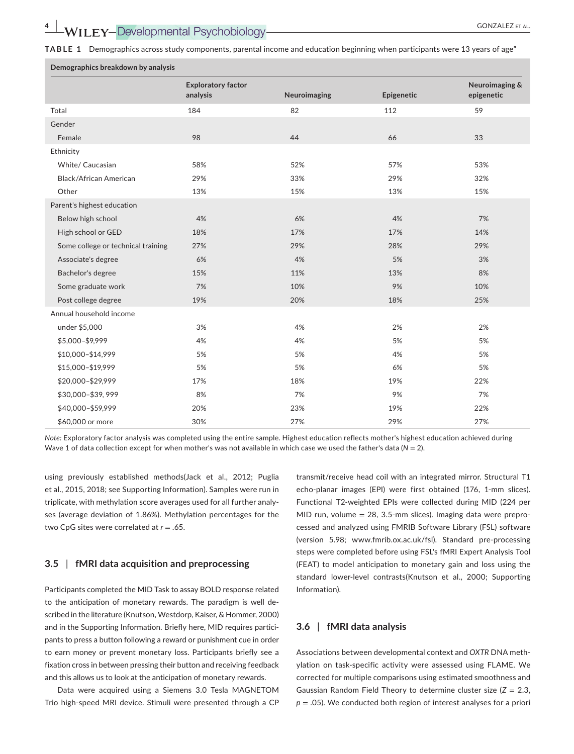**Demographics breakdown by analysis**

**TABLE 1** Demographics across study components, parental income and education beginning when participants were 13 years of age"

|                                    | <b>Exploratory factor</b> |              |            | Neuroimaging & |
|------------------------------------|---------------------------|--------------|------------|----------------|
|                                    | analysis                  | Neuroimaging | Epigenetic | epigenetic     |
| Total                              | 184                       | 82           | 112        | 59             |
| Gender                             |                           |              |            |                |
| Female                             | 98                        | 44           | 66         | 33             |
| Ethnicity                          |                           |              |            |                |
| White/ Caucasian                   | 58%                       | 52%          | 57%        | 53%            |
| <b>Black/African American</b>      | 29%                       | 33%          | 29%        | 32%            |
| Other                              | 13%                       | 15%          | 13%        | 15%            |
| Parent's highest education         |                           |              |            |                |
| Below high school                  | 4%                        | 6%           | 4%         | 7%             |
| High school or GED                 | 18%                       | 17%          | 17%        | 14%            |
| Some college or technical training | 27%                       | 29%          | 28%        | 29%            |
| Associate's degree                 | 6%                        | 4%           | 5%         | 3%             |
| Bachelor's degree                  | 15%                       | 11%          | 13%        | 8%             |
| Some graduate work                 | 7%                        | 10%          | 9%         | 10%            |
| Post college degree                | 19%                       | 20%          | 18%        | 25%            |
| Annual household income            |                           |              |            |                |
| under \$5,000                      | 3%                        | 4%           | 2%         | 2%             |
| \$5,000-\$9,999                    | 4%                        | 4%           | 5%         | 5%             |
| \$10,000-\$14,999                  | 5%                        | 5%           | 4%         | 5%             |
| \$15,000-\$19,999                  | 5%                        | 5%           | 6%         | 5%             |
| \$20,000-\$29,999                  | 17%                       | 18%          | 19%        | 22%            |
| \$30,000-\$39,999                  | 8%                        | 7%           | 9%         | 7%             |
| \$40,000-\$59,999                  | 20%                       | 23%          | 19%        | 22%            |
| \$60,000 or more                   | 30%                       | 27%          | 29%        | 27%            |

*Note:* Exploratory factor analysis was completed using the entire sample. Highest education reflects mother's highest education achieved during Wave 1 of data collection except for when mother's was not available in which case we used the father's data (*N* = 2).

using previously established methods(Jack et al., 2012; Puglia et al., 2015, 2018; see Supporting Information). Samples were run in triplicate, with methylation score averages used for all further analyses (average deviation of 1.86%). Methylation percentages for the two CpG sites were correlated at *r* = .65.

#### **3.5** | **fMRI data acquisition and preprocessing**

Participants completed the MID Task to assay BOLD response related to the anticipation of monetary rewards. The paradigm is well described in the literature (Knutson, Westdorp, Kaiser, & Hommer, 2000) and in the Supporting Information. Briefly here, MID requires participants to press a button following a reward or punishment cue in order to earn money or prevent monetary loss. Participants briefly see a fixation cross in between pressing their button and receiving feedback and this allows us to look at the anticipation of monetary rewards.

Data were acquired using a Siemens 3.0 Tesla MAGNETOM Trio high-speed MRI device. Stimuli were presented through a CP

transmit/receive head coil with an integrated mirror. Structural T1 echo-planar images (EPI) were first obtained (176, 1-mm slices). Functional T2-weighted EPIs were collected during MID (224 per MID run, volume = 28, 3.5-mm slices). Imaging data were preprocessed and analyzed using FMRIB Software Library (FSL) software (version 5.98; [www.fmrib.ox.ac.uk/fsl](http://www.fmrib.ox.ac.uk/fsl)). Standard pre-processing steps were completed before using FSL's fMRI Expert Analysis Tool (FEAT) to model anticipation to monetary gain and loss using the standard lower-level contrasts(Knutson et al., 2000; Supporting Information).

## **3.6** | **fMRI data analysis**

Associations between developmental context and *OXTR* DNA methylation on task-specific activity were assessed using FLAME. We corrected for multiple comparisons using estimated smoothness and Gaussian Random Field Theory to determine cluster size (*Z* = 2.3, *p* = .05). We conducted both region of interest analyses for a priori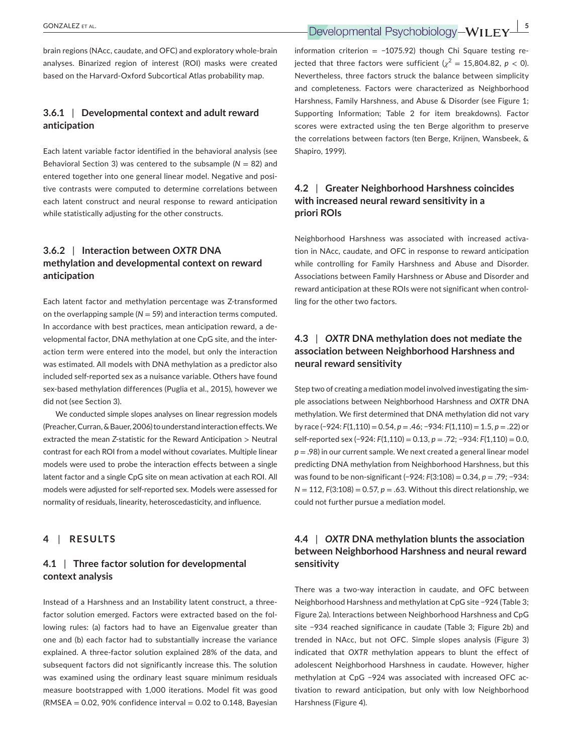**EXECUTE ET AL.** *CONZALEZ ET AL. BOOD ALLEY CONZALEZ ET AL.* **5Developmental Psychobiology-WILEY** 

brain regions (NAcc, caudate, and OFC) and exploratory whole-brain analyses. Binarized region of interest (ROI) masks were created based on the Harvard-Oxford Subcortical Atlas probability map.

## **3.6.1** | **Developmental context and adult reward anticipation**

Each latent variable factor identified in the behavioral analysis (see Behavioral Section 3) was centered to the subsample (*N* = 82) and entered together into one general linear model. Negative and positive contrasts were computed to determine correlations between each latent construct and neural response to reward anticipation while statistically adjusting for the other constructs.

## **3.6.2** | **Interaction between** *OXTR* **DNA methylation and developmental context on reward anticipation**

Each latent factor and methylation percentage was Z-transformed on the overlapping sample  $(N = 59)$  and interaction terms computed. In accordance with best practices, mean anticipation reward, a developmental factor, DNA methylation at one CpG site, and the interaction term were entered into the model, but only the interaction was estimated. All models with DNA methylation as a predictor also included self-reported sex as a nuisance variable. Others have found sex-based methylation differences (Puglia et al., 2015), however we did not (see Section 3).

We conducted simple slopes analyses on linear regression models (Preacher, Curran, & Bauer,2006) to understand interaction effects. We extracted the mean *Z*-statistic for the Reward Anticipation > Neutral contrast for each ROI from a model without covariates. Multiple linear models were used to probe the interaction effects between a single latent factor and a single CpG site on mean activation at each ROI. All models were adjusted for self-reported sex. Models were assessed for normality of residuals, linearity, heteroscedasticity, and influence.

## **4** | **RESULTS**

## **4.1** | **Three factor solution for developmental context analysis**

Instead of a Harshness and an Instability latent construct, a threefactor solution emerged. Factors were extracted based on the following rules: (a) factors had to have an Eigenvalue greater than one and (b) each factor had to substantially increase the variance explained. A three-factor solution explained 28% of the data, and subsequent factors did not significantly increase this. The solution was examined using the ordinary least square minimum residuals measure bootstrapped with 1,000 iterations. Model fit was good  $(NMSEA = 0.02, 90\%$  confidence interval = 0.02 to 0.148, Bayesian information criterion =  $-1075.92$ ) though Chi Square testing rejected that three factors were sufficient  $(\chi^2 = 15,804.82, p < 0)$ . Nevertheless, three factors struck the balance between simplicity and completeness. Factors were characterized as Neighborhood Harshness, Family Harshness, and Abuse & Disorder (see Figure 1; Supporting Information; Table 2 for item breakdowns). Factor scores were extracted using the ten Berge algorithm to preserve the correlations between factors (ten Berge, Krijnen, Wansbeek, & Shapiro, 1999).

## **4.2** | **Greater Neighborhood Harshness coincides with increased neural reward sensitivity in a priori ROIs**

Neighborhood Harshness was associated with increased activation in NAcc, caudate, and OFC in response to reward anticipation while controlling for Family Harshness and Abuse and Disorder. Associations between Family Harshness or Abuse and Disorder and reward anticipation at these ROIs were not significant when controlling for the other two factors.

## **4.3** | *OXTR* **DNA methylation does not mediate the association between Neighborhood Harshness and neural reward sensitivity**

Step two of creating a mediation model involved investigating the simple associations between Neighborhood Harshness and *OXTR* DNA methylation. We first determined that DNA methylation did not vary by race (−924: *F*(1,110) = 0.54, *p* = .46; −934: *F*(1,110) = 1.5, *p* = .22) or self-reported sex (−924: *F*(1,110) = 0.13, *p* = .72; −934: *F*(1,110) = 0.0, *p* = .98) in our current sample. We next created a general linear model predicting DNA methylation from Neighborhood Harshness, but this was found to be non-significant (−924: *F*(3:108) = 0.34, *p* = .79; −934: *N* = 112, *F*(3:108) = 0.57, *p* = .63. Without this direct relationship, we could not further pursue a mediation model.

## **4.4** | *OXTR* **DNA methylation blunts the association between Neighborhood Harshness and neural reward sensitivity**

There was a two-way interaction in caudate, and OFC between Neighborhood Harshness and methylation at CpG site −924 (Table 3; Figure 2a). Interactions between Neighborhood Harshness and CpG site −934 reached significance in caudate (Table 3; Figure 2b) and trended in NAcc, but not OFC. Simple slopes analysis (Figure 3) indicated that *OXTR* methylation appears to blunt the effect of adolescent Neighborhood Harshness in caudate. However, higher methylation at CpG −924 was associated with increased OFC activation to reward anticipation, but only with low Neighborhood Harshness (Figure 4).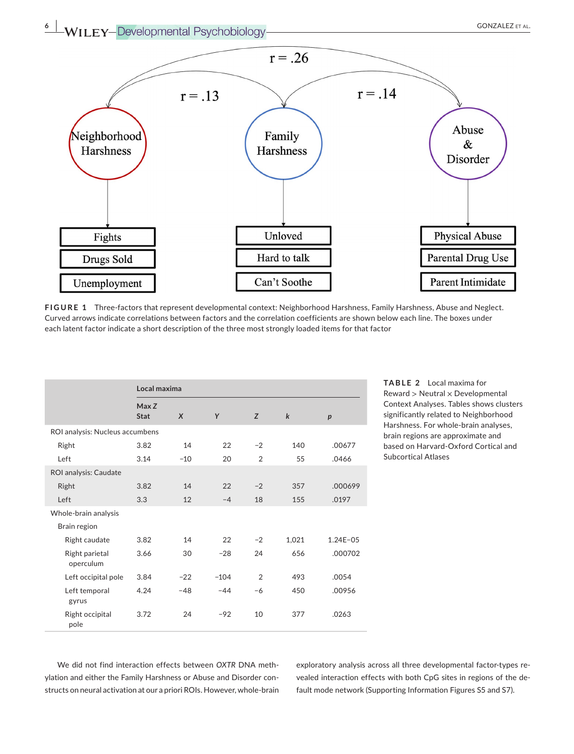**6 |**  GONZALEZ et al.



**FIGURE 1** Three-factors that represent developmental context: Neighborhood Harshness, Family Harshness, Abuse and Neglect. Curved arrows indicate correlations between factors and the correlation coefficients are shown below each line. The boxes under each latent factor indicate a short description of the three most strongly loaded items for that factor

|                                 | Local maxima         |                  |        |                |             |              |  |  |
|---------------------------------|----------------------|------------------|--------|----------------|-------------|--------------|--|--|
|                                 | Max Z<br><b>Stat</b> | $\boldsymbol{X}$ | Y      | Z              | $\mathbf k$ | p            |  |  |
| ROI analysis: Nucleus accumbens |                      |                  |        |                |             |              |  |  |
| Right                           | 3.82                 | 14               | 22     | $-2$           | 140         | .00677       |  |  |
| Left                            | 3.14                 | $-10$            | 20     | $\overline{2}$ | 55          | .0466        |  |  |
| ROI analysis: Caudate           |                      |                  |        |                |             |              |  |  |
| Right                           | 3.82                 | 14               | 22     | $-2$           | 357         | .000699      |  |  |
| Left                            | 3.3                  | 12               | $-4$   | 18             | 155         | .0197        |  |  |
| Whole-brain analysis            |                      |                  |        |                |             |              |  |  |
| Brain region                    |                      |                  |        |                |             |              |  |  |
| Right caudate                   | 3.82                 | 14               | 22     | $-2$           | 1,021       | $1.24E - 05$ |  |  |
| Right parietal<br>operculum     | 3.66                 | 30               | $-28$  | 24             | 656         | .000702      |  |  |
| Left occipital pole             | 3.84                 | $-22$            | $-104$ | $\overline{2}$ | 493         | .0054        |  |  |
| Left temporal<br>gyrus          | 4.24                 | $-48$            | $-44$  | $-6$           | 450         | .00956       |  |  |
| Right occipital<br>pole         | 3.72                 | 24               | $-92$  | 10             | 377         | .0263        |  |  |

**TABLE 2** Local maxima for  $R$ eward  $>$  Neutral  $\times$  Developmental Context Analyses. Tables shows clusters significantly related to Neighborhood Harshness. For whole-brain analyses, brain regions are approximate and based on Harvard-Oxford Cortical and Subcortical Atlases

We did not find interaction effects between *OXTR* DNA methylation and either the Family Harshness or Abuse and Disorder constructs on neural activation at our a priori ROIs. However, whole-brain exploratory analysis across all three developmental factor-types revealed interaction effects with both CpG sites in regions of the default mode network (Supporting Information Figures S5 and S7).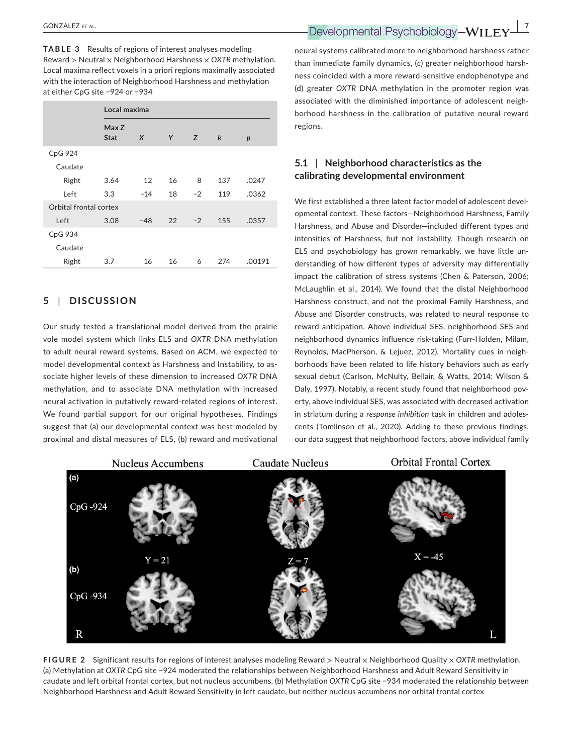**TABLE 3** Results of regions of interest analyses modeling Reward > Neutral × Neighborhood Harshness × *OXTR* methylation. Local maxima reflect voxels in a priori regions maximally associated with the interaction of Neighborhood Harshness and methylation at either CpG site −924 or −934

|                        |                      | Local maxima     |    |      |             |        |  |
|------------------------|----------------------|------------------|----|------|-------------|--------|--|
|                        | Max Z<br><b>Stat</b> | $\boldsymbol{X}$ | Y  | Z    | $\mathbf k$ | p      |  |
| CpG 924                |                      |                  |    |      |             |        |  |
| Caudate                |                      |                  |    |      |             |        |  |
| Right                  | 3.64                 | 12               | 16 | 8    | 137         | .0247  |  |
| Left                   | 3.3                  | $-14$            | 18 | $-2$ | 119         | .0362  |  |
| Orbital frontal cortex |                      |                  |    |      |             |        |  |
| Left                   | 3.08                 | $-48$            | 22 | $-2$ | 155         | .0357  |  |
| CpG 934                |                      |                  |    |      |             |        |  |
| Caudate                |                      |                  |    |      |             |        |  |
| Right                  | 3.7                  | 16               | 16 | 6    | 274         | .00191 |  |

## **5** | **DISCUSSION**

Our study tested a translational model derived from the prairie vole model system which links ELS and *OXTR* DNA methylation to adult neural reward systems. Based on ACM, we expected to model developmental context as Harshness and Instability, to associate higher levels of these dimension to increased *OXTR* DNA methylation, and to associate DNA methylation with increased neural activation in putatively reward-related regions of interest. We found partial support for our original hypotheses. Findings suggest that (a) our developmental context was best modeled by proximal and distal measures of ELS, (b) reward and motivational

neural systems calibrated more to neighborhood harshness rather than immediate family dynamics, (c) greater neighborhood harshness coincided with a more reward-sensitive endophenotype and (d) greater *OXTR* DNA methylation in the promoter region was associated with the diminished importance of adolescent neighborhood harshness in the calibration of putative neural reward regions.

## **5.1** | **Neighborhood characteristics as the calibrating developmental environment**

We first established a three latent factor model of adolescent developmental context. These factors—Neighborhood Harshness, Family Harshness, and Abuse and Disorder—included different types and intensities of Harshness, but not Instability. Though research on ELS and psychobiology has grown remarkably, we have little understanding of how different types of adversity may differentially impact the calibration of stress systems (Chen & Paterson, 2006; McLaughlin et al., 2014). We found that the distal Neighborhood Harshness construct, and not the proximal Family Harshness, and Abuse and Disorder constructs, was related to neural response to reward anticipation. Above individual SES, neighborhood SES and neighborhood dynamics influence risk-taking (Furr-Holden, Milam, Reynolds, MacPherson, & Lejuez, 2012). Mortality cues in neighborhoods have been related to life history behaviors such as early sexual debut (Carlson, McNulty, Bellair, & Watts, 2014; Wilson & Daly, 1997). Notably, a recent study found that neighborhood poverty, above individual SES, was associated with decreased activation in striatum during a *response inhibition* task in children and adolescents (Tomlinson et al., 2020). Adding to these previous findings, our data suggest that neighborhood factors, above individual family



**FIGURE 2** Significant results for regions of interest analyses modeling Reward > Neutral × Neighborhood Quality × *OXTR* methylation. (a) Methylation at *OXTR* CpG site −924 moderated the relationships between Neighborhood Harshness and Adult Reward Sensitivity in caudate and left orbital frontal cortex, but not nucleus accumbens. (b) Methylation *OXTR* CpG site −934 moderated the relationship between Neighborhood Harshness and Adult Reward Sensitivity in left caudate, but neither nucleus accumbens nor orbital frontal cortex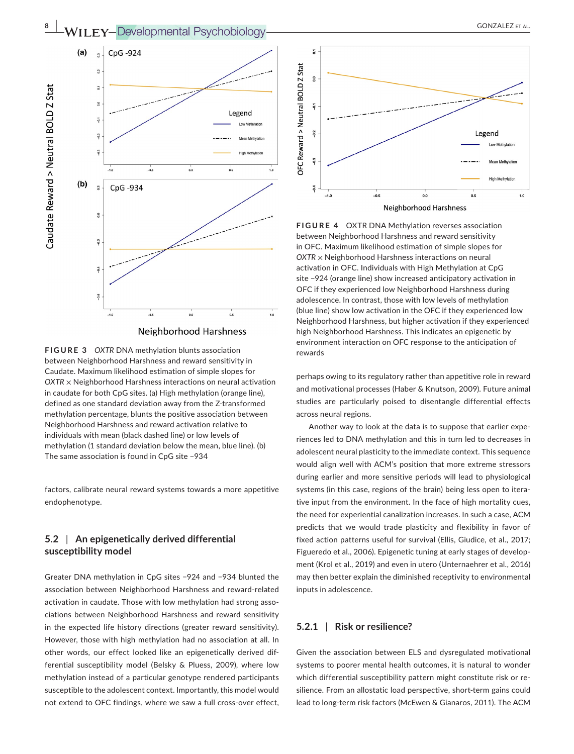**8 |**  GONZALEZ et al.



Neighborhood Harshness

**FIGURE 3** OXTR DNA methylation blunts association between Neighborhood Harshness and reward sensitivity in Caudate. Maximum likelihood estimation of simple slopes for *OXTR* × Neighborhood Harshness interactions on neural activation in caudate for both CpG sites. (a) High methylation (orange line), defined as one standard deviation away from the Z-transformed methylation percentage, blunts the positive association between Neighborhood Harshness and reward activation relative to individuals with mean (black dashed line) or low levels of methylation (1 standard deviation below the mean, blue line). (b) The same association is found in CpG site −934

factors, calibrate neural reward systems towards a more appetitive endophenotype.

## **5.2** | **An epigenetically derived differential susceptibility model**

Greater DNA methylation in CpG sites −924 and −934 blunted the association between Neighborhood Harshness and reward-related activation in caudate. Those with low methylation had strong associations between Neighborhood Harshness and reward sensitivity in the expected life history directions (greater reward sensitivity). However, those with high methylation had no association at all. In other words, our effect looked like an epigenetically derived differential susceptibility model (Belsky & Pluess, 2009), where low methylation instead of a particular genotype rendered participants susceptible to the adolescent context. Importantly, this model would not extend to OFC findings, where we saw a full cross-over effect,



**FIGURE 4**  OXTR DNA Methylation reverses association between Neighborhood Harshness and reward sensitivity in OFC. Maximum likelihood estimation of simple slopes for *OXTR* × Neighborhood Harshness interactions on neural activation in OFC. Individuals with High Methylation at CpG site −924 (orange line) show increased anticipatory activation in OFC if they experienced low Neighborhood Harshness during adolescence. In contrast, those with low levels of methylation (blue line) show low activation in the OFC if they experienced low Neighborhood Harshness, but higher activation if they experienced high Neighborhood Harshness. This indicates an epigenetic by environment interaction on OFC response to the anticipation of

perhaps owing to its regulatory rather than appetitive role in reward and motivational processes (Haber & Knutson, 2009). Future animal studies are particularly poised to disentangle differential effects across neural regions.

Another way to look at the data is to suppose that earlier experiences led to DNA methylation and this in turn led to decreases in adolescent neural plasticity to the immediate context. This sequence would align well with ACM's position that more extreme stressors during earlier and more sensitive periods will lead to physiological systems (in this case, regions of the brain) being less open to iterative input from the environment. In the face of high mortality cues, the need for experiential canalization increases. In such a case, ACM predicts that we would trade plasticity and flexibility in favor of fixed action patterns useful for survival (Ellis, Giudice, et al., 2017; Figueredo et al., 2006). Epigenetic tuning at early stages of development (Krol et al., 2019) and even in utero (Unternaehrer et al., 2016) may then better explain the diminished receptivity to environmental inputs in adolescence.

## **5.2.1** | **Risk or resilience?**

Given the association between ELS and dysregulated motivational systems to poorer mental health outcomes, it is natural to wonder which differential susceptibility pattern might constitute risk or resilience. From an allostatic load perspective, short-term gains could lead to long-term risk factors (McEwen & Gianaros, 2011). The ACM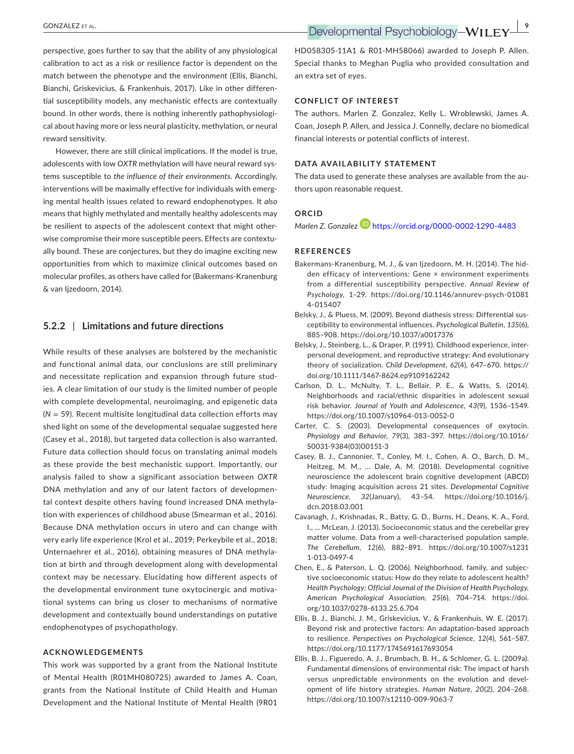perspective, goes further to say that the ability of any physiological calibration to act as a risk or resilience factor is dependent on the match between the phenotype and the environment (Ellis, Bianchi, Bianchi, Griskevicius, & Frankenhuis, 2017). Like in other differential susceptibility models, any mechanistic effects are contextually bound. In other words, there is nothing inherently pathophysiological about having more or less neural plasticity, methylation, or neural reward sensitivity.

However, there are still clinical implications. If the model is true, adolescents with low *OXTR* methylation will have neural reward systems susceptible to *the influence of their environments*. Accordingly, interventions will be maximally effective for individuals with emerging mental health issues related to reward endophenotypes. It *also* means that highly methylated and mentally healthy adolescents may be resilient to aspects of the adolescent context that might otherwise compromise their more susceptible peers. Effects are contextually bound. These are conjectures, but they do imagine exciting new opportunities from which to maximize clinical outcomes based on molecular profiles, as others have called for (Bakermans-Kranenburg & van Ijzedoorn, 2014).

#### **5.2.2** | **Limitations and future directions**

While results of these analyses are bolstered by the mechanistic and functional animal data, our conclusions are still preliminary and necessitate replication and expansion through future studies. A clear limitation of our study is the limited number of people with complete developmental, neuroimaging, and epigenetic data (*N* = 59). Recent multisite longitudinal data collection efforts may shed light on some of the developmental sequalae suggested here (Casey et al., 2018), but targeted data collection is also warranted. Future data collection should focus on translating animal models as these provide the best mechanistic support. Importantly, our analysis failed to show a significant association between *OXTR* DNA methylation and any of our latent factors of developmental context despite others having found increased DNA methylation with experiences of childhood abuse (Smearman et al., 2016). Because DNA methylation occurs in utero and can change with very early life experience (Krol et al., 2019; Perkeybile et al., 2018; Unternaehrer et al., 2016), obtaining measures of DNA methylation at birth and through development along with developmental context may be necessary. Elucidating how different aspects of the developmental environment tune oxytocinergic and motivational systems can bring us closer to mechanisms of normative development and contextually bound understandings on putative endophenotypes of psychopathology.

#### **ACKNOWLEDGEMENTS**

This work was supported by a grant from the National Institute of Mental Health (R01MH080725) awarded to James A. Coan, grants from the National Institute of Child Health and Human Development and the National Institute of Mental Health (9R01

HD058305-11A1 & R01-MH58066) awarded to Joseph P. Allen. Special thanks to Meghan Puglia who provided consultation and an extra set of eyes.

#### **CONFLICT OF INTEREST**

The authors, Marlen Z. Gonzalez, Kelly L. Wroblewski, James A. Coan, Joseph P. Allen, and Jessica J. Connelly, declare no biomedical financial interests or potential conflicts of interest.

#### **DATA AVAILABILITY STATEMENT**

The data used to generate these analyses are available from the authors upon reasonable request.

#### **ORCID**

*Marlen Z. Gonzalez* <https://orcid.org/0000-0002-1290-4483>

#### **REFERENCES**

- Bakermans-Kranenburg, M. J., & van Ijzedoorn, M. H. (2014). The hidden efficacy of interventions: Gene × environment experiments from a differential susceptibility perspective. *Annual Review of Psychology*, 1–29. [https://doi.org/10.1146/annurev-psych-01081](https://doi.org/10.1146/annurev-psych-010814-015407) [4-015407](https://doi.org/10.1146/annurev-psych-010814-015407)
- Belsky, J., & Pluess, M. (2009). Beyond diathesis stress: Differential susceptibility to environmental influences. *Psychological Bulletin*, *135*(6), 885–908. <https://doi.org/10.1037/a0017376>
- Belsky, J., Steinberg, L., & Draper, P. (1991). Childhood experience, interpersonal development, and reproductive strategy: And evolutionary theory of socialization. *Child Development*, *62*(4), 647–670. [https://](https://doi.org/10.1111/1467-8624.ep9109162242) [doi.org/10.1111/1467-8624.ep9109162242](https://doi.org/10.1111/1467-8624.ep9109162242)
- Carlson, D. L., McNulty, T. L., Bellair, P. E., & Watts, S. (2014). Neighborhoods and racial/ethnic disparities in adolescent sexual risk behavior. *Journal of Youth and Adolescence*, *43*(9), 1536–1549. <https://doi.org/10.1007/s10964-013-0052-0>
- Carter, C. S. (2003). Developmental consequences of oxytocin. *Physiology and Behavior*, *79*(3), 383–397. [https://doi.org/10.1016/](https://doi.org/10.1016/S0031-9384(03)00151-3) [S0031-9384\(03\)00151-3](https://doi.org/10.1016/S0031-9384(03)00151-3)
- Casey, B. J., Cannonier, T., Conley, M. I., Cohen, A. O., Barch, D. M., Heitzeg, M. M., … Dale, A. M. (2018). Developmental cognitive neuroscience the adolescent brain cognitive development (ABCD) study: Imaging acquisition across 21 sites. *Developmental Cognitive Neuroscience*, *32*(January), 43–54. [https://doi.org/10.1016/j.](https://doi.org/10.1016/j.dcn.2018.03.001) [dcn.2018.03.001](https://doi.org/10.1016/j.dcn.2018.03.001)
- Cavanagh, J., Krishnadas, R., Batty, G. D., Burns, H., Deans, K. A., Ford, I., … McLean, J. (2013). Socioeconomic status and the cerebellar grey matter volume. Data from a well-characterised population sample. *The Cerebellum*, *12*(6), 882–891. [https://doi.org/10.1007/s1231](https://doi.org/10.1007/s12311-013-0497-4) [1-013-0497-4](https://doi.org/10.1007/s12311-013-0497-4)
- Chen, E., & Paterson, L. Q. (2006). Neighborhood, family, and subjective socioeconomic status: How do they relate to adolescent health? *Health Psychology: Official Journal of the Division of Health Psychology, American Psychological Association*, *25*(6), 704–714. [https://doi.](https://doi.org/10.1037/0278-6133.25.6.704) [org/10.1037/0278-6133.25.6.704](https://doi.org/10.1037/0278-6133.25.6.704)
- Ellis, B. J., Bianchi, J. M., Griskevicius, V., & Frankenhuis, W. E. (2017). Beyond risk and protective factors: An adaptation-based approach to resilience. *Perspectives on Psychological Science*, *12*(4), 561–587. <https://doi.org/10.1177/1745691617693054>
- Ellis, B. J., Figueredo, A. J., Brumbach, B. H., & Schlomer, G. L. (2009a). Fundamental dimensions of environmental risk: The impact of harsh versus unpredictable environments on the evolution and development of life history strategies. *Human Nature*, *20*(2), 204–268. <https://doi.org/10.1007/s12110-009-9063-7>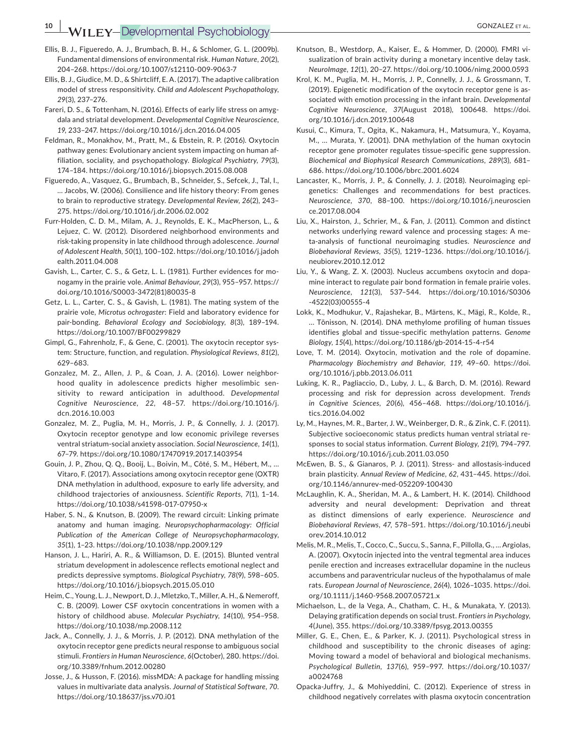- Ellis, B. J., Figueredo, A. J., Brumbach, B. H., & Schlomer, G. L. (2009b). Fundamental dimensions of environmental risk. *Human Nature*, *20*(2), 204–268. <https://doi.org/10.1007/s12110-009-9063-7>
- Ellis, B. J., Giudice, M. D., & Shirtcliff, E. A. (2017). The adaptive calibration model of stress responsitivity. *Child and Adolescent Psychopathology*, *29*(3), 237–276.
- Fareri, D. S., & Tottenham, N. (2016). Effects of early life stress on amygdala and striatal development. *Developmental Cognitive Neuroscience*, *19*, 233–247. <https://doi.org/10.1016/j.dcn.2016.04.005>
- Feldman, R., Monakhov, M., Pratt, M., & Ebstein, R. P. (2016). Oxytocin pathway genes: Evolutionary ancient system impacting on human affiliation, sociality, and psychopathology. *Biological Psychiatry*, *79*(3), 174–184. <https://doi.org/10.1016/j.biopsych.2015.08.008>
- Figueredo, A., Vasquez, G., Brumbach, B., Schneider, S., Sefcek, J., Tal, I., … Jacobs, W. (2006). Consilience and life history theory: From genes to brain to reproductive strategy. *Developmental Review*, *26*(2), 243– 275.<https://doi.org/10.1016/j.dr.2006.02.002>
- Furr-Holden, C. D. M., Milam, A. J., Reynolds, E. K., MacPherson, L., & Lejuez, C. W. (2012). Disordered neighborhood environments and risk-taking propensity in late childhood through adolescence. *Journal of Adolescent Health*, *50*(1), 100–102. [https://doi.org/10.1016/j.jadoh](https://doi.org/10.1016/j.jadohealth.2011.04.008) [ealth.2011.04.008](https://doi.org/10.1016/j.jadohealth.2011.04.008)
- Gavish, L., Carter, C. S., & Getz, L. L. (1981). Further evidences for monogamy in the prairie vole. *Animal Behaviour*, *29*(3), 955–957. [https://](https://doi.org/10.1016/S0003-3472(81)80035-8) [doi.org/10.1016/S0003-3472\(81\)80035-8](https://doi.org/10.1016/S0003-3472(81)80035-8)
- Getz, L. L., Carter, C. S., & Gavish, L. (1981). The mating system of the prairie vole, *Microtus ochrogaster*: Field and laboratory evidence for pair-bonding. *Behavioral Ecology and Sociobiology*, *8*(3), 189–194. <https://doi.org/10.1007/BF00299829>
- Gimpl, G., Fahrenholz, F., & Gene, C. (2001). The oxytocin receptor system: Structure, function, and regulation. *Physiological Reviews*, *81*(2), 629–683.
- Gonzalez, M. Z., Allen, J. P., & Coan, J. A. (2016). Lower neighborhood quality in adolescence predicts higher mesolimbic sensitivity to reward anticipation in adulthood. *Developmental Cognitive Neuroscience*, *22*, 48–57. [https://doi.org/10.1016/j.](https://doi.org/10.1016/j.dcn.2016.10.003) [dcn.2016.10.003](https://doi.org/10.1016/j.dcn.2016.10.003)
- Gonzalez, M. Z., Puglia, M. H., Morris, J. P., & Connelly, J. J. (2017). Oxytocin receptor genotype and low economic privilege reverses ventral striatum-social anxiety association. *Social Neuroscience*, *14*(1), 67–79.<https://doi.org/10.1080/17470919.2017.1403954>
- Gouin, J. P., Zhou, Q. Q., Booij, L., Boivin, M., Côté, S. M., Hébert, M., … Vitaro, F. (2017). Associations among oxytocin receptor gene (OXTR) DNA methylation in adulthood, exposure to early life adversity, and childhood trajectories of anxiousness. *Scientific Reports*, *7*(1), 1–14. <https://doi.org/10.1038/s41598-017-07950-x>
- Haber, S. N., & Knutson, B. (2009). The reward circuit: Linking primate anatomy and human imaging. *Neuropsychopharmacology: Official Publication of the American College of Neuropsychopharmacology*, *35*(1), 1–23.<https://doi.org/10.1038/npp.2009.129>
- Hanson, J. L., Hariri, A. R., & Williamson, D. E. (2015). Blunted ventral striatum development in adolescence reflects emotional neglect and predicts depressive symptoms. *Biological Psychiatry*, *78*(9), 598–605. <https://doi.org/10.1016/j.biopsych.2015.05.010>
- Heim, C., Young, L. J., Newport, D. J., Mletzko, T., Miller, A. H., & Nemeroff, C. B. (2009). Lower CSF oxytocin concentrations in women with a history of childhood abuse. *Molecular Psychiatry*, *14*(10), 954–958. <https://doi.org/10.1038/mp.2008.112>
- Jack, A., Connelly, J. J., & Morris, J. P. (2012). DNA methylation of the oxytocin receptor gene predicts neural response to ambiguous social stimuli. *Frontiers in Human Neuroscience*, *6*(October), 280. [https://doi.](https://doi.org/10.3389/fnhum.2012.00280) [org/10.3389/fnhum.2012.00280](https://doi.org/10.3389/fnhum.2012.00280)
- Josse, J., & Husson, F. (2016). missMDA: A package for handling missing values in multivariate data analysis. *Journal of Statistical Software*, *70*. <https://doi.org/10.18637/jss.v70.i01>
- Knutson, B., Westdorp, A., Kaiser, E., & Hommer, D. (2000). FMRI visualization of brain activity during a monetary incentive delay task. *NeuroImage*, *12*(1), 20–27. <https://doi.org/10.1006/nimg.2000.0593>
- Krol, K. M., Puglia, M. H., Morris, J. P., Connelly, J. J., & Grossmann, T. (2019). Epigenetic modification of the oxytocin receptor gene is associated with emotion processing in the infant brain. *Developmental Cognitive Neuroscience*, *37*(August 2018), 100648. [https://doi.](https://doi.org/10.1016/j.dcn.2019.100648) [org/10.1016/j.dcn.2019.100648](https://doi.org/10.1016/j.dcn.2019.100648)
- Kusui, C., Kimura, T., Ogita, K., Nakamura, H., Matsumura, Y., Koyama, M., … Murata, Y. (2001). DNA methylation of the human oxytocin receptor gene promoter regulates tissue-specific gene suppression. *Biochemical and Biophysical Research Communications*, *289*(3), 681– 686. <https://doi.org/10.1006/bbrc.2001.6024>
- Lancaster, K., Morris, J. P., & Connelly, J. J. (2018). Neuroimaging epigenetics: Challenges and recommendations for best practices. *Neuroscience*, *370*, 88–100. [https://doi.org/10.1016/j.neuroscien](https://doi.org/10.1016/j.neuroscience.2017.08.004) [ce.2017.08.004](https://doi.org/10.1016/j.neuroscience.2017.08.004)
- Liu, X., Hairston, J., Schrier, M., & Fan, J. (2011). Common and distinct networks underlying reward valence and processing stages: A meta-analysis of functional neuroimaging studies. *Neuroscience and Biobehavioral Reviews*, *35*(5), 1219–1236. [https://doi.org/10.1016/j.](https://doi.org/10.1016/j.neubiorev.2010.12.012) [neubiorev.2010.12.012](https://doi.org/10.1016/j.neubiorev.2010.12.012)
- Liu, Y., & Wang, Z. X. (2003). Nucleus accumbens oxytocin and dopamine interact to regulate pair bond formation in female prairie voles. *Neuroscience*, *121*(3), 537–544. [https://doi.org/10.1016/S0306](https://doi.org/10.1016/S0306-4522(03)00555-4) [-4522\(03\)00555-4](https://doi.org/10.1016/S0306-4522(03)00555-4)
- Lokk, K., Modhukur, V., Rajashekar, B., Märtens, K., Mägi, R., Kolde, R., … Tõnisson, N. (2014). DNA methylome profiling of human tissues identifies global and tissue-specific methylation patterns. *Genome Biology*, *15*(4),<https://doi.org/10.1186/gb-2014-15-4-r54>
- Love, T. M. (2014). Oxytocin, motivation and the role of dopamine. *Pharmacology Biochemistry and Behavior*, *119*, 49–60. [https://doi.](https://doi.org/10.1016/j.pbb.2013.06.011) [org/10.1016/j.pbb.2013.06.011](https://doi.org/10.1016/j.pbb.2013.06.011)
- Luking, K. R., Pagliaccio, D., Luby, J. L., & Barch, D. M. (2016). Reward processing and risk for depression across development. *Trends in Cognitive Sciences*, *20*(6), 456–468. [https://doi.org/10.1016/j.](https://doi.org/10.1016/j.tics.2016.04.002) [tics.2016.04.002](https://doi.org/10.1016/j.tics.2016.04.002)
- Ly, M., Haynes, M. R., Barter, J. W., Weinberger, D. R., & Zink, C. F. (2011). Subjective socioeconomic status predicts human ventral striatal responses to social status information. *Current Biology*, *21*(9), 794–797. <https://doi.org/10.1016/j.cub.2011.03.050>
- McEwen, B. S., & Gianaros, P. J. (2011). Stress- and allostasis-induced brain plasticity. *Annual Review of Medicine*, *62*, 431–445. [https://doi.](https://doi.org/10.1146/annurev-med-052209-100430) [org/10.1146/annurev-med-052209-100430](https://doi.org/10.1146/annurev-med-052209-100430)
- McLaughlin, K. A., Sheridan, M. A., & Lambert, H. K. (2014). Childhood adversity and neural development: Deprivation and threat as distinct dimensions of early experience. *Neuroscience and Biobehavioral Reviews*, *47*, 578–591. [https://doi.org/10.1016/j.neubi](https://doi.org/10.1016/j.neubiorev.2014.10.012) [orev.2014.10.012](https://doi.org/10.1016/j.neubiorev.2014.10.012)
- Melis, M. R., Melis, T., Cocco, C., Succu, S., Sanna, F., Pillolla, G., … Argiolas, A. (2007). Oxytocin injected into the ventral tegmental area induces penile erection and increases extracellular dopamine in the nucleus accumbens and paraventricular nucleus of the hypothalamus of male rats. *European Journal of Neuroscience*, *26*(4), 1026–1035. [https://doi.](https://doi.org/10.1111/j.1460-9568.2007.05721.x) [org/10.1111/j.1460-9568.2007.05721.x](https://doi.org/10.1111/j.1460-9568.2007.05721.x)
- Michaelson, L., de la Vega, A., Chatham, C. H., & Munakata, Y. (2013). Delaying gratification depends on social trust. *Frontiers in Psychology*, *4*(June), 355.<https://doi.org/10.3389/fpsyg.2013.00355>
- Miller, G. E., Chen, E., & Parker, K. J. (2011). Psychological stress in childhood and susceptibility to the chronic diseases of aging: Moving toward a model of behavioral and biological mechanisms. *Psychological Bulletin*, *137*(6), 959–997. [https://doi.org/10.1037/](https://doi.org/10.1037/a0024768) [a0024768](https://doi.org/10.1037/a0024768)
- Opacka-Juffry, J., & Mohiyeddini, C. (2012). Experience of stress in childhood negatively correlates with plasma oxytocin concentration